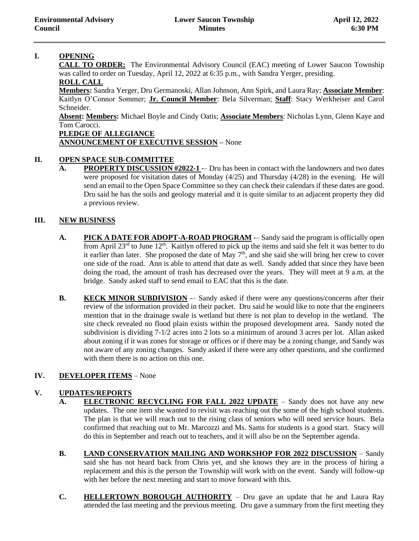## **I. OPENING**

**CALL TO ORDER:** The Environmental Advisory Council (EAC) meeting of Lower Saucon Township was called to order on Tuesday, April 12, 2022 at 6:35 p.m., with Sandra Yerger, presiding.

# **ROLL CALL**

**Members:** Sandra Yerger, Dru Germanoski, Allan Johnson, Ann Spirk, and Laura Ray; **Associate Member**: Kaitlyn O'Connor Sommer; **Jr. Council Member**: Bela Silverman; **Staff**: Stacy Werkheiser and Carol Schneider.

**Absent: Members:** Michael Boyle and Cindy Oatis; **Associate Members**: Nicholas Lynn, Glenn Kaye and Tom Carocci.

## **PLEDGE OF ALLEGIANCE**

## **ANNOUNCEMENT OF EXECUTIVE SESSION –** None

## **II. OPEN SPACE SUB-COMMITTEE**

A. **PROPERTY DISCUSSION #2022-1** -– Dru has been in contact with the landowners and two dates were proposed for visitation dates of Monday (4/25) and Thursday (4/28) in the evening. He will send an email to the Open Space Committee so they can check their calendars if these dates are good. Dru said he has the soils and geology material and it is quite similar to an adjacent property they did a previous review.

#### **III. NEW BUSINESS**

- A. **PICK A DATE FOR ADOPT-A-ROAD PROGRAM** -– Sandy said the program is officially open from April 23<sup>rd</sup> to June 12<sup>th</sup>. Kaitlyn offered to pick up the items and said she felt it was better to do it earlier than later. She proposed the date of May  $7<sup>th</sup>$ , and she said she will bring her crew to cover one side of the road. Ann is able to attend that date as well. Sandy added that since they have been doing the road, the amount of trash has decreased over the years. They will meet at 9 a.m. at the bridge. Sandy asked staff to send email to EAC that this is the date.
- **B. KECK MINOR SUBDIVISION** -– Sandy asked if there were any questions/concerns after their review of the information provided in their packet. Dru said he would like to note that the engineers mention that in the drainage swale is wetland but there is not plan to develop in the wetland. The site check revealed no flood plain exists within the proposed development area. Sandy noted the subdivision is dividing 7-1/2 acres into 2 lots so a minimum of around 3 acres per lot. Allan asked about zoning if it was zones for storage or offices or if there may be a zoning change, and Sandy was not aware of any zoning changes. Sandy asked if there were any other questions, and she confirmed with them there is no action on this one.

## **IV. DEVELOPER ITEMS** – None

## **V. UPDATES/REPORTS**

- A. **ELECTRONIC RECYCLING FOR FALL 2022 UPDATE** Sandy does not have any new updates. The one item she wanted to revisit was reaching out the some of the high school students. The plan is that we will reach out to the rising class of seniors who will need service hours. Bela confirmed that reaching out to Mr. Marcozzi and Ms. Sams for students is a good start. Stacy will do this in September and reach out to teachers, and it will also be on the September agenda.
- **B. LAND CONSERVATION MAILING AND WORKSHOP FOR 2022 DISCUSSION** Sandy said she has not heard back from Chris yet, and she knows they are in the process of hiring a replacement and this is the person the Township will work with on the event. Sandy will follow-up with her before the next meeting and start to move forward with this.
- **C. HELLERTOWN BOROUGH AUTHORITY** Dru gave an update that he and Laura Ray attended the last meeting and the previous meeting. Dru gave a summary from the first meeting they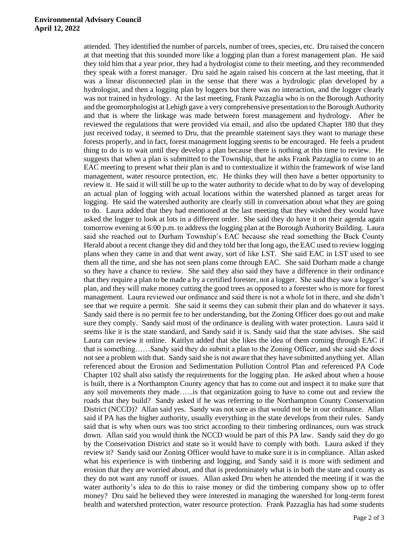#### **Environmental Advisory Council April 12, 2022**

attended. They identified the number of parcels, number of trees, species, etc. Dru raised the concern at that meeting that this sounded more like a logging plan than a forest management plan. He said they told him that a year prior, they had a hydrologist come to their meeting, and they recommended they speak with a forest manager. Dru said he again raised his concern at the last meeting, that it was a linear disconnected plan in the sense that there was a hydrologic plan developed by a hydrologist, and then a logging plan by loggers but there was no interaction, and the logger clearly was not trained in hydrology. At the last meeting, Frank Pazzaglia who is on the Borough Authority and the geomorphologist at Lehigh gave a very comprehensive presentation to the Borough Authority and that is where the linkage was made between forest management and hydrology. After he reviewed the regulations that were provided via email, and also the updated Chapter 180 that they just received today, it seemed to Dru, that the preamble statement says they want to manage these forests properly, and in fact, forest management logging seems to be encouraged. He feels a prudent thing to do is to wait until they develop a plan because there is nothing at this time to review. He suggests that when a plan is submitted to the Township, that he asks Frank Pazzaglia to come to an EAC meeting to present what their plan is and to contextualize it within the framework of wise land management, water resource protection, etc. He thinks they will then have a better opportunity to review it. He said it will still be up to the water authority to decide what to do by way of developing an actual plan of logging with actual locations within the watershed planned as target areas for logging. He said the watershed authority are clearly still in conversation about what they are going to do. Laura added that they had mentioned at the last meeting that they wished they would have asked the logger to look at lots in a different order. She said they do have it on their agenda again tomorrow evening at 6:00 p.m. to address the logging plan at the Borough Authority Building. Laura said she reached out to Durham Township's EAC because she read something the Buck County Herald about a recent change they did and they told her that long ago, the EAC used to review logging plans when they came in and that went away, sort of like LST. She said EAC in LST used to see them all the time, and she has not seen plans come through EAC. She said Durham made a change so they have a chance to review. She said they also said they have a difference in their ordinance that they require a plan to be made a by a certified forester, not a logger. She said they saw a logger's plan, and they will make money cutting the good trees as opposed to a forester who is more for forest management. Laura reviewed our ordinance and said there is not a whole lot in there, and she didn't see that we require a permit. She said it seems they can submit their plan and do whatever it says. Sandy said there is no permit fee to her understanding, but the Zoning Officer does go out and make sure they comply. Sandy said most of the ordinance is dealing with water protection. Laura said it seems like it is the state standard, and Sandy said it is. Sandy said that the state advises. She said Laura can review it online. Kaitlyn added that she likes the idea of them coming through EAC if that is something……Sandy said they do submit a plan to the Zoning Officer, and she said she does not see a problem with that. Sandy said she is not aware that they have submitted anything yet. Allan referenced about the Erosion and Sedimentation Pollution Control Plan and referenced PA Code Chapter 102 shall also satisfy the requirements for the logging plan. He asked about when a house is built, there is a Northampton County agency that has to come out and inspect it to make sure that any soil movements they made…...is that organization going to have to come out and review the roads that they build? Sandy asked if he was referring to the Northampton County Conservation District (NCCD)? Allan said yes. Sandy was not sure as that would not be in our ordinance. Allan said if PA has the higher authority, usually everything in the state develops from their rules. Sandy said that is why when ours was too strict according to their timbering ordinances, ours was struck down. Allan said you would think the NCCD would be part of this PA law. Sandy said they do go by the Conservation District and state so it would have to comply with both. Laura asked if they review it? Sandy said our Zoning Officer would have to make sure it is in compliance. Allan asked what his experience is with timbering and logging, and Sandy said it is more with sediment and erosion that they are worried about, and that is predominately what is in both the state and county as they do not want any runoff or issues. Allan asked Dru when he attended the meeting if it was the water authority's idea to do this to raise money or did the timbering company show up to offer money? Dru said he believed they were interested in managing the watershed for long-term forest health and watershed protection, water resource protection. Frank Pazzaglia has had some students